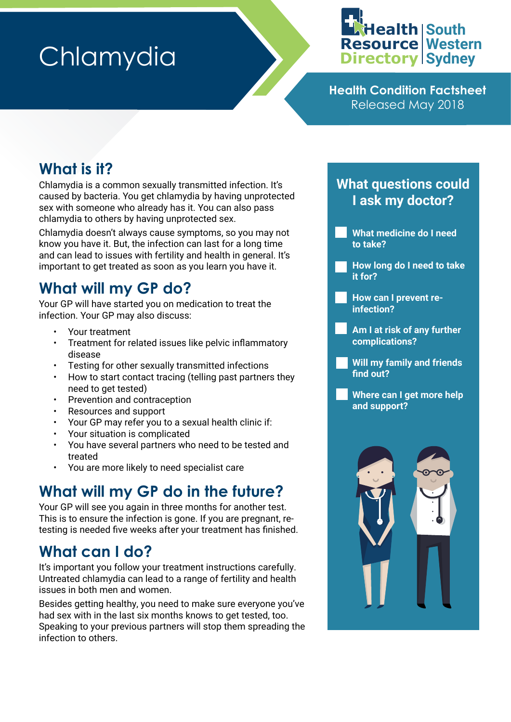# **Chlamydia**



**Health Condition Factsheet** Released May 2018

## **What is it?**

Chlamydia is a common sexually transmitted infection. It's caused by bacteria. You get chlamydia by having unprotected sex with someone who already has it. You can also pass chlamydia to others by having unprotected sex.

Chlamydia doesn't always cause symptoms, so you may not know you have it. But, the infection can last for a long time and can lead to issues with fertility and health in general. It's important to get treated as soon as you learn you have it.

## **What will my GP do?**

Your GP will have started you on medication to treat the infection. Your GP may also discuss:

- Your treatment
- Treatment for related issues like pelvic inflammatory disease
- Testing for other sexually transmitted infections
- How to start contact tracing (telling past partners they need to get tested)
- Prevention and contraception
- Resources and support
- Your GP may refer you to a sexual health clinic if:
- Your situation is complicated
- You have several partners who need to be tested and treated
- You are more likely to need specialist care

## **What will my GP do in the future?**

Your GP will see you again in three months for another test. This is to ensure the infection is gone. If you are pregnant, retesting is needed five weeks after your treatment has finished.

## **What can I do?**

It's important you follow your treatment instructions carefully. Untreated chlamydia can lead to a range of fertility and health issues in both men and women.

Besides getting healthy, you need to make sure everyone you've had sex with in the last six months knows to get tested, too. Speaking to your previous partners will stop them spreading the infection to others.

#### **What questions could I ask my doctor?**

- **What medicine do I need to take?**
- **How long do I need to take it for?**
- **How can I prevent reinfection?**
- **Am I at risk of any further complications?**
- **Will my family and friends find out?**
- **Where can I get more help and support?**